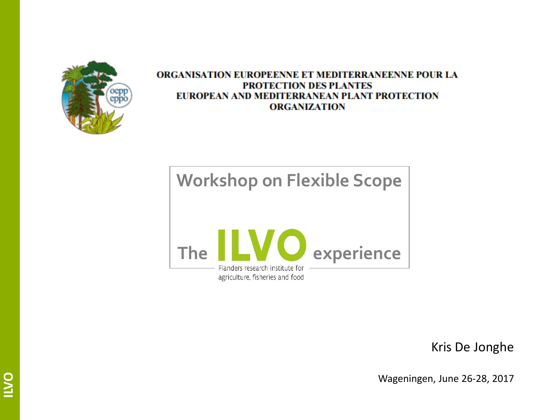

#### **ORGANISATION EUROPEENNE ET MEDITERRANEENNE POUR LA PROTECTION DES PLANTES** EUROPEAN AND MEDITERRANEAN PLANT PROTECTION **ORGANIZATION**



Kris De Jonghe

Wageningen, June 26-28, 2017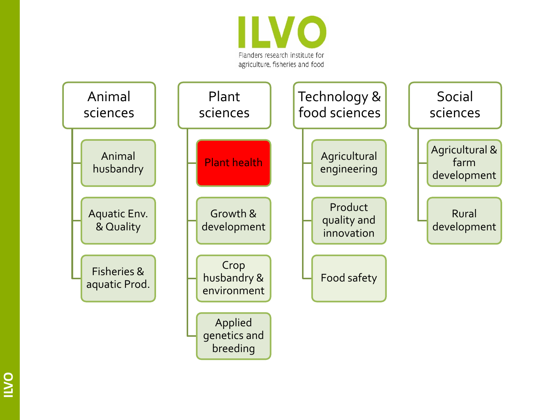

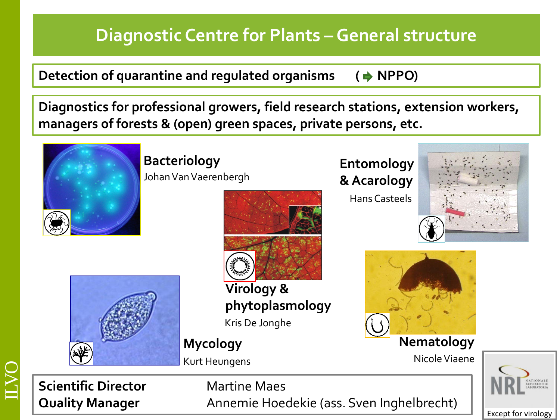## **Diagnostic Centre for Plants – General structure**

**Detection of quarantine and regulated organisms (→ NPPO)** 

**Diagnostics for professional growers, field research stations, extension workers, managers of forests & (open) green spaces, private persons, etc.**



**Bacteriology Entomology** Johan Van Vaerenbergh



**Virology & phytoplasmology** Kris De Jonghe

Kurt Heungens

# **& Acarology**

Hans Casteels





**Mycology Nematology**

Nicole Viaene





**Quality Manager** Annemie Hoedekie (ass. Sven Inghelbrecht)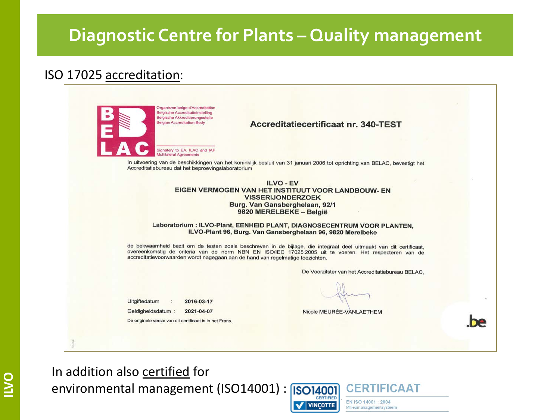#### **Diagnostic Centre for Plants – Quality management**

#### ISO 17025 accreditation:

| Organisme belge d'Accréditation<br>Belgische Accreditatieinstelling<br>Belgische Akkreditierungsstelle<br><b>Belgian Accreditation Body</b> | Accreditatiecertificaat nr. 340-TEST                                                                                                                                                                                         |
|---------------------------------------------------------------------------------------------------------------------------------------------|------------------------------------------------------------------------------------------------------------------------------------------------------------------------------------------------------------------------------|
| Signatory to EA, ILAC and IAF<br>Multilaleral Agreements                                                                                    |                                                                                                                                                                                                                              |
| Accreditatiebureau dat het beproevingslaboratorium                                                                                          | In uitvoering van de beschikkingen van het koninklijk besluit van 31 januari 2006 tot oprichting van BELAC, bevestigt het                                                                                                    |
|                                                                                                                                             | ILVO - EV<br>EIGEN VERMOGEN VAN HET INSTITUUT VOOR LANDBOUW- EN<br><b>VISSERIJONDERZOEK</b><br>Burg. Van Gansberghelaan, 92/1<br>9820 MERELBEKE - België                                                                     |
|                                                                                                                                             | Laboratorium : ILVO-Plant, EENHEID PLANT, DIAGNOSECENTRUM VOOR PLANTEN.<br>ILVO-Plant 96, Burg. Van Gansberghelaan 96, 9820 Merelbeke                                                                                        |
| accreditatievoorwaarden wordt nagegaan aan de hand van regelmatige toezichten.                                                              | de bekwaamheid bezit om de testen zoals beschreven in de bijlage, die integraal deel uitmaakt van dit certificaat,<br>overeenkomstig de criteria van de norm NBN EN ISO/IEC 17025:2005 uit te voeren. Het respecteren van de |
|                                                                                                                                             | De Voorzitster van het Accreditatiebureau BELAC.                                                                                                                                                                             |
| Uitgiftedatum<br>2016-03-17                                                                                                                 |                                                                                                                                                                                                                              |
| Geldigheidsdatum:<br>2021-04-07                                                                                                             | Nicole MEURÉE-VANLAETHEM                                                                                                                                                                                                     |
| De originele versie van dit certificaat is in het Frans.                                                                                    |                                                                                                                                                                                                                              |

In addition also certified for environmental management (ISO14001) : [ISO14001

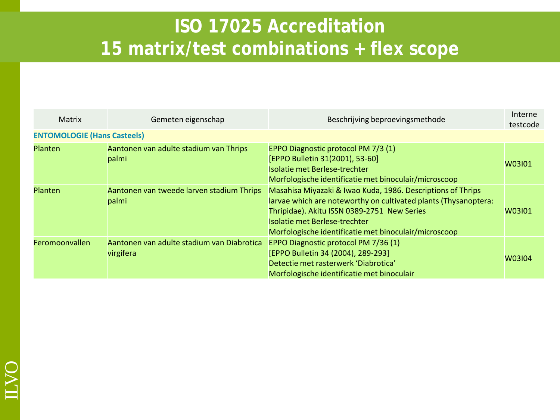| Matrix                             | Gemeten eigenschap                                      | Beschrijving beproevingsmethode                                                                                                                                                                                                                                         | Interne<br>testcode |
|------------------------------------|---------------------------------------------------------|-------------------------------------------------------------------------------------------------------------------------------------------------------------------------------------------------------------------------------------------------------------------------|---------------------|
| <b>ENTOMOLOGIE (Hans Casteels)</b> |                                                         |                                                                                                                                                                                                                                                                         |                     |
| <b>Planten</b>                     | Aantonen van adulte stadium van Thrips<br>palmi         | EPPO Diagnostic protocol PM 7/3 (1)<br>[EPPO Bulletin 31(2001), 53-60]<br>Isolatie met Berlese-trechter<br>Morfologische identificatie met binoculair/microscoop                                                                                                        | W03101              |
| <b>Planten</b>                     | Aantonen van tweede larven stadium Thrips<br>palmi      | Masahisa Miyazaki & Iwao Kuda, 1986. Descriptions of Thrips<br>larvae which are noteworthy on cultivated plants (Thysanoptera:<br>Thripidae). Akitu ISSN 0389-2751 New Series<br>Isolatie met Berlese-trechter<br>Morfologische identificatie met binoculair/microscoop | W03101              |
| Feromoonvallen                     | Aantonen van adulte stadium van Diabrotica<br>virgifera | EPPO Diagnostic protocol PM 7/36 (1)<br>[EPPO Bulletin 34 (2004), 289-293]<br>Detectie met rasterwerk 'Diabrotica'<br>Morfologische identificatie met binoculair                                                                                                        | W03104              |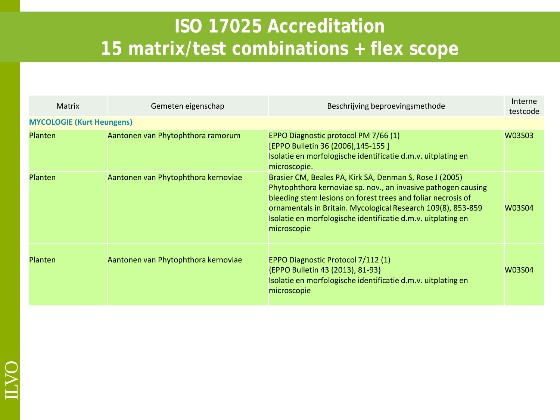| Matrix                           | Gemeten eigenschap                  | Beschrijving beproevingsmethode                                                                                                                                                                                                                                                                                                         | Interne<br>testcode |
|----------------------------------|-------------------------------------|-----------------------------------------------------------------------------------------------------------------------------------------------------------------------------------------------------------------------------------------------------------------------------------------------------------------------------------------|---------------------|
| <b>MYCOLOGIE (Kurt Heungens)</b> |                                     |                                                                                                                                                                                                                                                                                                                                         |                     |
| <b>Planten</b>                   | Aantonen van Phytophthora ramorum   | EPPO Diagnostic protocol PM 7/66 (1)<br>[EPPO Bulletin 36 (2006), 145-155 ]<br>Isolatie en morfologische identificatie d.m.v. uitplating en<br>microscopie.                                                                                                                                                                             | <b>W03S03</b>       |
| Planten                          | Aantonen van Phytophthora kernoviae | Brasier CM, Beales PA, Kirk SA, Denman S, Rose J (2005)<br>Phytophthora kernoviae sp. nov., an invasive pathogen causing<br>bleeding stem lesions on forest trees and foliar necrosis of<br>ornamentals in Britain. Mycological Research 109(8), 853-859<br>Isolatie en morfologische identificatie d.m.v. uitplating en<br>microscopie | W03S04              |
| Planten                          | Aantonen van Phytophthora kernoviae | EPPO Diagnostic Protocol 7/112 (1)<br>{EPPO Bulletin 43 (2013), 81-93}<br>Isolatie en morfologische identificatie d.m.v. uitplating en<br>microscopie                                                                                                                                                                                   | W03S04              |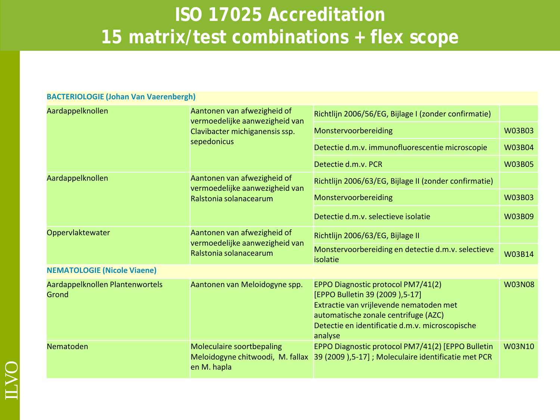| BACTENIOLOGIE (JUHAN VAN VAEI ENDERNI)   |                                                                                         |                                                                                                                                                                                                                        |               |
|------------------------------------------|-----------------------------------------------------------------------------------------|------------------------------------------------------------------------------------------------------------------------------------------------------------------------------------------------------------------------|---------------|
| Aardappelknollen                         | Aantonen van afwezigheid of<br>vermoedelijke aanwezigheid van                           | Richtlijn 2006/56/EG, Bijlage I (zonder confirmatie)                                                                                                                                                                   |               |
|                                          | Clavibacter michiganensis ssp.<br>sepedonicus                                           | Monstervoorbereiding                                                                                                                                                                                                   | <b>W03B03</b> |
|                                          |                                                                                         | Detectie d.m.v. immunofluorescentie microscopie                                                                                                                                                                        | <b>W03B04</b> |
|                                          |                                                                                         | Detectie d.m.v. PCR                                                                                                                                                                                                    | <b>W03B05</b> |
| Aardappelknollen                         | Aantonen van afwezigheid of<br>vermoedelijke aanwezigheid van<br>Ralstonia solanacearum | Richtlijn 2006/63/EG, Bijlage II (zonder confirmatie)                                                                                                                                                                  |               |
|                                          |                                                                                         | Monstervoorbereiding                                                                                                                                                                                                   | <b>W03B03</b> |
|                                          |                                                                                         | Detectie d.m.v. selectieve isolatie                                                                                                                                                                                    | W03B09        |
| Oppervlaktewater                         | Aantonen van afwezigheid of                                                             | Richtlijn 2006/63/EG, Bijlage II                                                                                                                                                                                       |               |
|                                          | vermoedelijke aanwezigheid van<br>Ralstonia solanacearum                                | Monstervoorbereiding en detectie d.m.v. selectieve<br>isolatie                                                                                                                                                         | W03B14        |
| <b>NEMATOLOGIE (Nicole Viaene)</b>       |                                                                                         |                                                                                                                                                                                                                        |               |
| Aardappelknollen Plantenwortels<br>Grond | Aantonen van Meloidogyne spp.                                                           | EPPO Diagnostic protocol PM7/41(2)<br>[EPPO Bulletin 39 (2009), 5-17]<br>Extractie van vrijlevende nematoden met<br>automatische zonale centrifuge (AZC)<br>Detectie en identificatie d.m.v. microscopische<br>analyse | <b>W03N08</b> |
| Nematoden                                | <b>Moleculaire soortbepaling</b><br>Meloidogyne chitwoodi, M. fallax<br>en M. hapla     | EPPO Diagnostic protocol PM7/41(2) [EPPO Bulletin<br>39 (2009),5-17]; Moleculaire identificatie met PCR                                                                                                                | <b>W03N10</b> |

#### **CTEDIOLOGIE (Johan Van Vaerenberg)**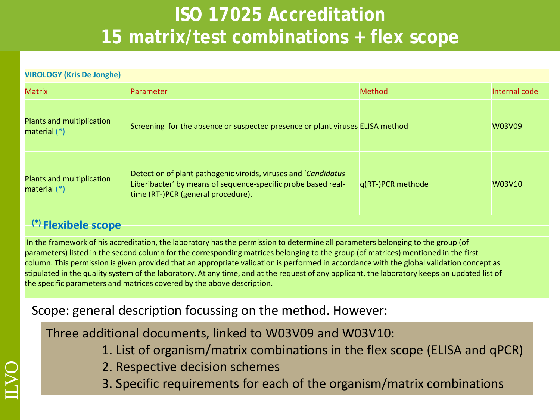| <b>VIROLOGY (Kris De Jonghe)</b>            |                                                                                                                                                                       |                   |               |  |  |
|---------------------------------------------|-----------------------------------------------------------------------------------------------------------------------------------------------------------------------|-------------------|---------------|--|--|
| <b>Matrix</b>                               | <b>Parameter</b>                                                                                                                                                      | Method            | Internal code |  |  |
| Plants and multiplication<br>material $(*)$ | Screening for the absence or suspected presence or plant viruses ELISA method                                                                                         |                   | W03V09        |  |  |
| Plants and multiplication<br>material $(*)$ | Detection of plant pathogenic viroids, viruses and 'Candidatus<br>Liberibacter' by means of sequence-specific probe based real-<br>time (RT-)PCR (general procedure). | q(RT-)PCR methode | W03V10        |  |  |

#### **(\*) Flexibele scope**

In the framework of his accreditation, the laboratory has the permission to determine all parameters belonging to the group (of parameters) listed in the second column for the corresponding matrices belonging to the group (of matrices) mentioned in the first column. This permission is given provided that an appropriate validation is performed in accordance with the global validation concept as stipulated in the quality system of the laboratory. At any time, and at the request of any applicant, the laboratory keeps an updated list of the specific parameters and matrices covered by the above description.

#### Scope: general description focussing on the method. However:

Three additional documents, linked to W03V09 and W03V10:

- 1. List of organism/matrix combinations in the flex scope (ELISA and qPCR)
- 2. Respective decision schemes
- 3. Specific requirements for each of the organism/matrix combinations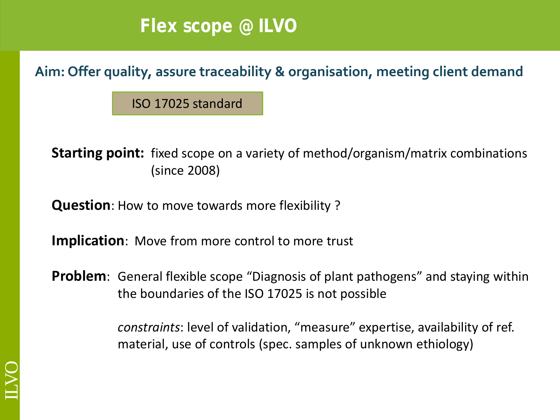#### **Flex scope @ ILVO**

**Aim: Offer quality, assure traceability & organisation, meeting client demand** 

ISO 17025 standard

**Starting point:** fixed scope on a variety of method/organism/matrix combinations (since 2008)

**Question**: How to move towards more flexibility ?

**Implication**: Move from more control to more trust

**Problem**: General flexible scope "Diagnosis of plant pathogens" and staying within the boundaries of the ISO 17025 is not possible

> *constraints*: level of validation, "measure" expertise, availability of ref. material, use of controls (spec. samples of unknown ethiology)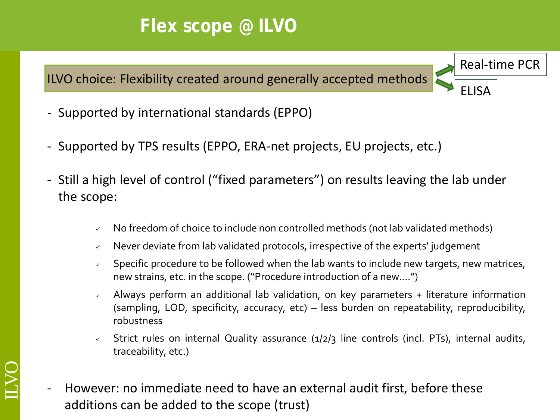## **Flex scope @ ILVO**

ILVO choice: Flexibility created around generally accepted methods

Real-time PCR ELISA

- Supported by international standards (EPPO)

ILVO

- Supported by TPS results (EPPO, ERA-net projects, EU projects, etc.)
- Still a high level of control ("fixed parameters") on results leaving the lab under the scope:
	- No freedom of choice to include non controlled methods (not lab validated methods)
	- $\sim$  Never deviate from lab validated protocols, irrespective of the experts' judgement
	- Specific procedure to be followed when the lab wants to include new targets, new matrices, new strains, etc. in the scope. ("Procedure introduction of a new….")
	- Always perform an additional lab validation, on key parameters + literature information (sampling, LOD, specificity, accuracy, etc) – less burden on repeatability, reproducibility, robustness
	- $\sqrt{ }$  Strict rules on internal Quality assurance (1/2/3 line controls (incl. PTs), internal audits, traceability, etc.)
- However: no immediate need to have an external audit first, before these additions can be added to the scope (trust)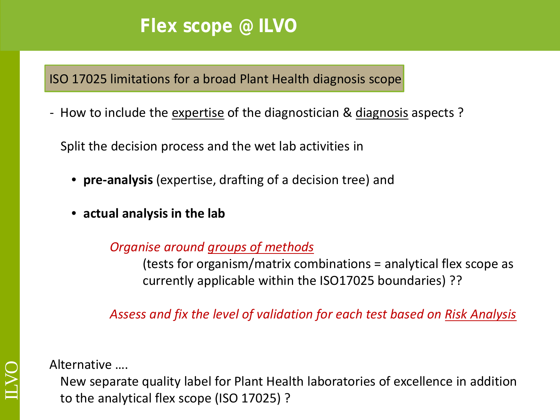#### **Flex scope @ ILVO**

ISO 17025 limitations for a broad Plant Health diagnosis scope

- How to include the expertise of the diagnostician & diagnosis aspects?

Split the decision process and the wet lab activities in

- **pre-analysis** (expertise, drafting of a decision tree) and
- **actual analysis in the lab**

*Organise around groups of methods* 

(tests for organism/matrix combinations = analytical flex scope as currently applicable within the ISO17025 boundaries) ??

*Assess and fix the level of validation for each test based on Risk Analysis*

Alternative ….

New separate quality label for Plant Health laboratories of excellence in addition to the analytical flex scope (ISO 17025) ?